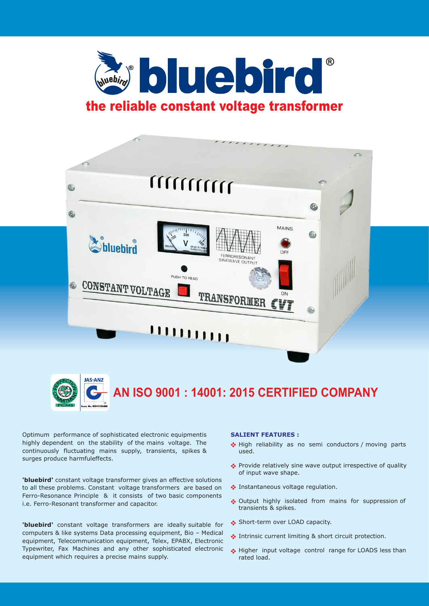



**AN ISO 9001 : 14001: 2015 CERTIFIED COMPANY**

Optimum performance of sophisticated electronic equipmentis highly dependent on the stability of the mains voltage. The continuously fluctuating mains supply, transients, spikes & surges produce harmfuleffects.

**'bluebird'** constant voltage transformer gives an effective solutions to all these problems. Constant voltage transformers are based on Ferro-Resonance Principle & it consists of two basic components i.e. Ferro-Resonant transformer and capacitor.

**'bluebird'** constant voltage transformers are ideally suitable for computers & like systems Data processing equipment, Bio – Medical equipment, Telecommunication equipment, Telex, EPABX, Electronic Typewriter, Fax Machines and any other sophisticated electronic equipment which requires a precise mains supply.

## **SALIENT FEATURES :**

- High reliability as no semi conductors / moving parts used.
- \* Provide relatively sine wave output irrespective of quality of input wave shape.
- **Instantaneous voltage regulation.**
- Output highly isolated from mains for suppression of transients & spikes.
- Short-term over LOAD capacity.
- Intrinsic current limiting & short circuit protection.
- Higher input voltage control range for LOADS less than rated load.